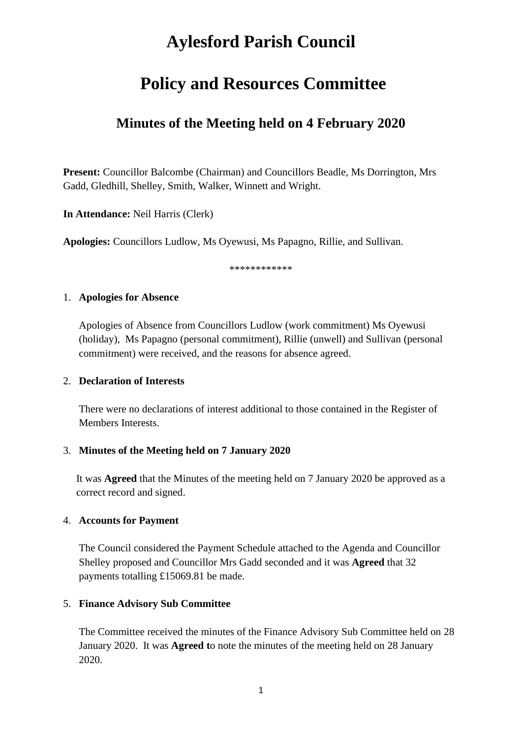# **Aylesford Parish Council**

## **Policy and Resources Committee**

### **Minutes of the Meeting held on 4 February 2020**

**Present:** Councillor Balcombe (Chairman) and Councillors Beadle, Ms Dorrington, Mrs Gadd, Gledhill, Shelley, Smith, Walker, Winnett and Wright.

**In Attendance:** Neil Harris (Clerk)

**Apologies:** Councillors Ludlow, Ms Oyewusi, Ms Papagno, Rillie, and Sullivan.

\*\*\*\*\*\*\*\*\*\*\*\*

#### 1. **Apologies for Absence**

Apologies of Absence from Councillors Ludlow (work commitment) Ms Oyewusi (holiday), Ms Papagno (personal commitment), Rillie (unwell) and Sullivan (personal commitment) were received, and the reasons for absence agreed.

#### 2. **Declaration of Interests**

There were no declarations of interest additional to those contained in the Register of Members Interests.

#### 3. **Minutes of the Meeting held on 7 January 2020**

It was **Agreed** that the Minutes of the meeting held on 7 January 2020 be approved as a correct record and signed.

#### 4. **Accounts for Payment**

The Council considered the Payment Schedule attached to the Agenda and Councillor Shelley proposed and Councillor Mrs Gadd seconded and it was **Agreed** that 32 payments totalling £15069.81 be made.

#### 5. **Finance Advisory Sub Committee**

The Committee received the minutes of the Finance Advisory Sub Committee held on 28 January 2020. It was **Agreed t**o note the minutes of the meeting held on 28 January 2020.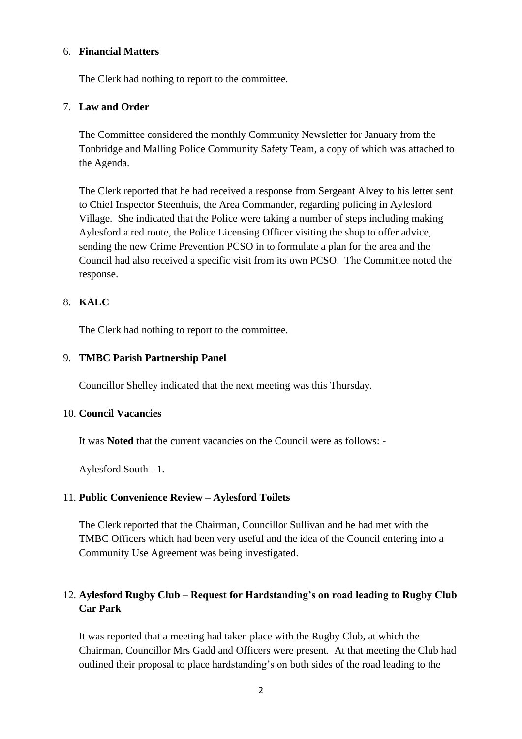#### 6. **Financial Matters**

The Clerk had nothing to report to the committee.

#### 7. **Law and Order**

The Committee considered the monthly Community Newsletter for January from the Tonbridge and Malling Police Community Safety Team, a copy of which was attached to the Agenda.

The Clerk reported that he had received a response from Sergeant Alvey to his letter sent to Chief Inspector Steenhuis, the Area Commander, regarding policing in Aylesford Village. She indicated that the Police were taking a number of steps including making Aylesford a red route, the Police Licensing Officer visiting the shop to offer advice, sending the new Crime Prevention PCSO in to formulate a plan for the area and the Council had also received a specific visit from its own PCSO. The Committee noted the response.

#### 8. **KALC**

The Clerk had nothing to report to the committee.

#### 9. **TMBC Parish Partnership Panel**

Councillor Shelley indicated that the next meeting was this Thursday.

#### 10. **Council Vacancies**

It was **Noted** that the current vacancies on the Council were as follows: -

Aylesford South - 1.

#### 11. **Public Convenience Review – Aylesford Toilets**

The Clerk reported that the Chairman, Councillor Sullivan and he had met with the TMBC Officers which had been very useful and the idea of the Council entering into a Community Use Agreement was being investigated.

### 12. **Aylesford Rugby Club – Request for Hardstanding's on road leading to Rugby Club Car Park**

It was reported that a meeting had taken place with the Rugby Club, at which the Chairman, Councillor Mrs Gadd and Officers were present. At that meeting the Club had outlined their proposal to place hardstanding's on both sides of the road leading to the